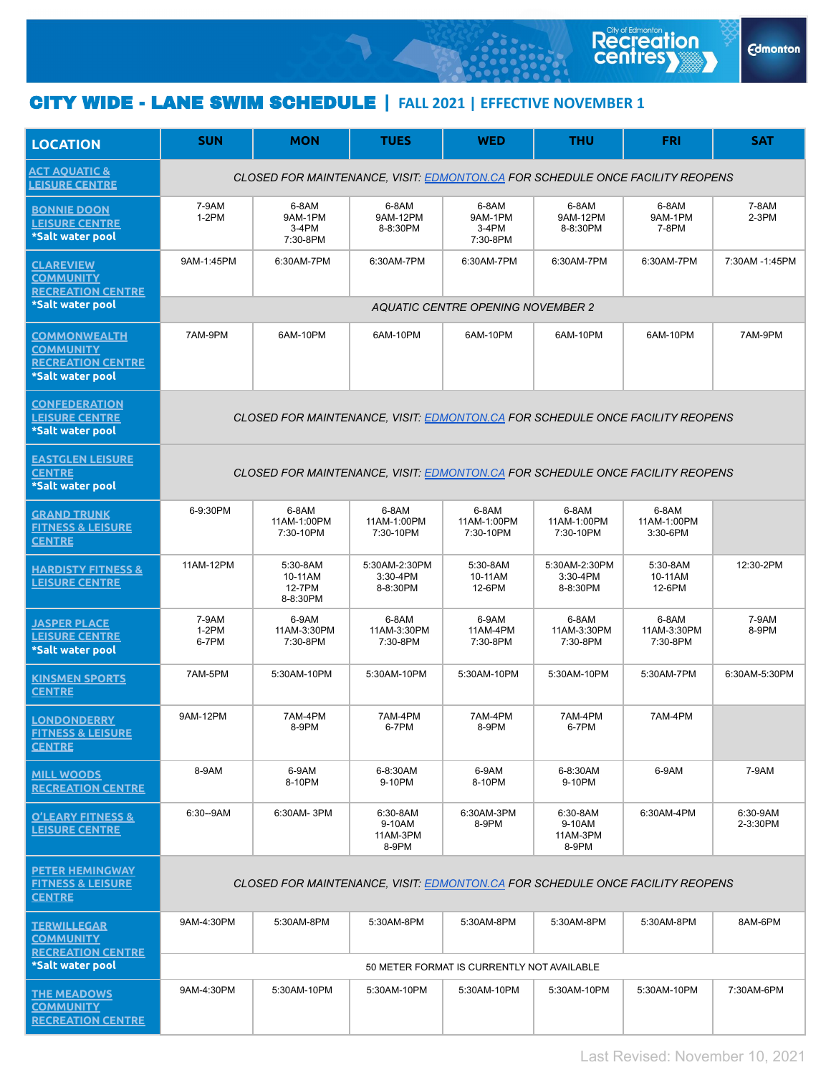## CITY WIDE - LANE SWIM SCHEDULE **| FALL 2021 | EFFECTIVE NOVEMBER 1**

| <b>LOCATION</b>                                                                         | <b>SUN</b>                                                                    | <b>MON</b>                                | <b>TUES</b>                               | <b>WED</b>                              | <b>THU</b>                              | <b>FRI</b>                       | <b>SAT</b>           |  |  |  |  |
|-----------------------------------------------------------------------------------------|-------------------------------------------------------------------------------|-------------------------------------------|-------------------------------------------|-----------------------------------------|-----------------------------------------|----------------------------------|----------------------|--|--|--|--|
| <b>ACT AQUATIC &amp;</b><br><b>LEISURE CENTRE</b>                                       | CLOSED FOR MAINTENANCE, VISIT: EDMONTON.CA FOR SCHEDULE ONCE FACILITY REOPENS |                                           |                                           |                                         |                                         |                                  |                      |  |  |  |  |
| <b>BONNIE DOON</b><br><b>LEISURE CENTRE</b><br>*Salt water pool                         | 7-9AM<br>$1-2PM$                                                              | 6-8AM<br>9AM-1PM<br>3-4PM<br>7:30-8PM     | 6-8AM<br>9AM-12PM<br>8-8:30PM             | 6-8AM<br>9AM-1PM<br>$3-4PM$<br>7:30-8PM | 6-8AM<br>9AM-12PM<br>8-8:30PM           | 6-8AM<br>9AM-1PM<br>7-8PM        | 7-8AM<br>2-3PM       |  |  |  |  |
| <b>CLAREVIEW</b><br><b>COMMUNITY</b><br><b>RECREATION CENTRE</b>                        | 9AM-1:45PM                                                                    | 6:30AM-7PM                                | 6:30AM-7PM                                | 6:30AM-7PM                              | 6:30AM-7PM                              | 6:30AM-7PM                       | 7:30AM -1:45PM       |  |  |  |  |
| *Salt water pool                                                                        | <b>AQUATIC CENTRE OPENING NOVEMBER 2</b>                                      |                                           |                                           |                                         |                                         |                                  |                      |  |  |  |  |
| <b>COMMONWEALTH</b><br><b>COMMUNITY</b><br><b>RECREATION CENTRE</b><br>*Salt water pool | 7AM-9PM                                                                       | 6AM-10PM                                  | 6AM-10PM                                  | 6AM-10PM                                | 6AM-10PM                                | 6AM-10PM                         | 7AM-9PM              |  |  |  |  |
| <b>CONFEDERATION</b><br><b>LEISURE CENTRE</b><br>*Salt water pool                       | CLOSED FOR MAINTENANCE, VISIT: EDMONTON.CA FOR SCHEDULE ONCE FACILITY REOPENS |                                           |                                           |                                         |                                         |                                  |                      |  |  |  |  |
| <b>EASTGLEN LEISURE</b><br><b>CENTRE</b><br>*Salt water pool                            | CLOSED FOR MAINTENANCE, VISIT: EDMONTON.CA FOR SCHEDULE ONCE FACILITY REOPENS |                                           |                                           |                                         |                                         |                                  |                      |  |  |  |  |
| <b>GRAND TRUNK</b><br><b>FITNESS &amp; LEISURE</b><br><b>CENTRE</b>                     | 6-9:30PM                                                                      | 6-8AM<br>11AM-1:00PM<br>7:30-10PM         | 6-8AM<br>11AM-1:00PM<br>7:30-10PM         | 6-8AM<br>11AM-1:00PM<br>7:30-10PM       | 6-8AM<br>11AM-1:00PM<br>7:30-10PM       | 6-8AM<br>11AM-1:00PM<br>3:30-6PM |                      |  |  |  |  |
| <b>HARDISTY FITNESS &amp;</b><br><b>LEISURE CENTRE</b>                                  | 11AM-12PM                                                                     | 5:30-8AM<br>10-11AM<br>12-7PM<br>8-8:30PM | 5:30AM-2:30PM<br>$3:30 - 4PM$<br>8-8:30PM | 5:30-8AM<br>10-11AM<br>12-6PM           | 5:30AM-2:30PM<br>3:30-4PM<br>8-8:30PM   | 5:30-8AM<br>10-11AM<br>12-6PM    | 12:30-2PM            |  |  |  |  |
| <b>JASPER PLACE</b><br><b>LEISURE CENTRE</b><br>*Salt water pool                        | 7-9AM<br>$1-2PM$<br>6-7PM                                                     | 6-9AM<br>11AM-3:30PM<br>7:30-8PM          | 6-8AM<br>11AM-3:30PM<br>7:30-8PM          | 6-9AM<br>11AM-4PM<br>7:30-8PM           | 6-8AM<br>11AM-3:30PM<br>7:30-8PM        | 6-8AM<br>11AM-3:30PM<br>7:30-8PM | 7-9AM<br>8-9PM       |  |  |  |  |
| <b>KINSMEN SPORTS</b><br><b>CENTRE</b>                                                  | 7AM-5PM                                                                       | 5:30AM-10PM                               | 5:30AM-10PM                               | 5:30AM-10PM                             | 5:30AM-10PM                             | 5:30AM-7PM                       | 6:30AM-5:30PM        |  |  |  |  |
| <b>LONDONDERRY</b><br><b>FITNESS &amp; LEISURE</b><br><u>CENTRE</u>                     | 9AM-12PM                                                                      | 7AM-4PM<br>8-9PM                          | 7AM-4PM<br>6-7PM                          | 7AM-4PM<br>8-9PM                        | 7AM-4PM<br>6-7PM                        | 7AM-4PM                          |                      |  |  |  |  |
| <u>MILL WOODS</u><br><b>RECREATION CENTRE</b>                                           | 8-9AM                                                                         | 6-9AM<br>8-10PM                           | 6-8:30AM<br>9-10PM                        | 6-9AM<br>8-10PM                         | 6-8:30AM<br>9-10PM                      | 6-9AM                            | 7-9AM                |  |  |  |  |
| <b>O'LEARY FITNESS &amp;</b><br><b>LEISURE CENTRE</b>                                   | 6:30--9AM                                                                     | 6:30AM-3PM                                | 6:30-8AM<br>9-10AM<br>11AM-3PM<br>8-9PM   | 6:30AM-3PM<br>8-9PM                     | 6:30-8AM<br>9-10AM<br>11AM-3PM<br>8-9PM | 6:30AM-4PM                       | 6:30-9AM<br>2-3:30PM |  |  |  |  |
| <b>PETER HEMINGWAY</b><br><b>FITNESS &amp; LEISURE</b><br><b>CENTRE</b>                 | CLOSED FOR MAINTENANCE, VISIT: EDMONTON.CA FOR SCHEDULE ONCE FACILITY REOPENS |                                           |                                           |                                         |                                         |                                  |                      |  |  |  |  |
| <u>TERWILLEGAR</u><br><b>COMMUNITY</b><br><b>RECREATION CENTRE</b><br>*Salt water pool  | 9AM-4:30PM                                                                    | 5:30AM-8PM                                | 5:30AM-8PM                                | 5:30AM-8PM                              | 5:30AM-8PM                              | 5:30AM-8PM                       | 8AM-6PM              |  |  |  |  |
|                                                                                         | 50 METER FORMAT IS CURRENTLY NOT AVAILABLE                                    |                                           |                                           |                                         |                                         |                                  |                      |  |  |  |  |
| <b>THE MEADOWS</b><br><b>COMMUNITY</b><br><b>RECREATION CENTRE</b>                      | 9AM-4:30PM                                                                    | 5:30AM-10PM                               | 5:30AM-10PM                               | 5:30AM-10PM                             | 5:30AM-10PM                             | 5:30AM-10PM                      | 7:30AM-6PM           |  |  |  |  |